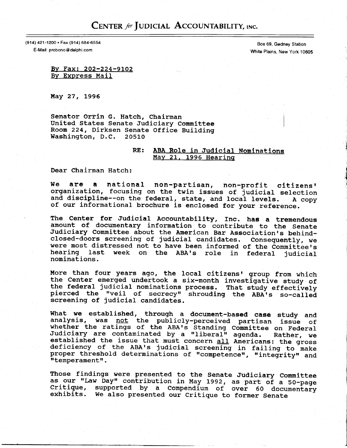## CENTER for JUDICIAL ACCOUNTABILITY, INC.

(914) 421-1200 · Fax (914) 684-6554

E-Mail: probono@delphi.com

Box 69, Gedney Station White Plains, New York 10605

By Fax: 202-224-9102 By Express Mail

May 27, 1996

Senator Orrin G. Hatch, Chairman United States Senate Judiciary Committee Room 224, Dirksen Senate Office Building Washington, D.C. 20510

## RE: ABA Role in Judicial Nominations May 21, 1996 Hearing

Dear Chairman Hatch:

are a national non-partisan, non-profit citizens' We organization, focusing on the twin issues of judicial selection and discipline -- on the federal, state, and local levels. A copy of our informational brochure is enclosed for your reference.

The Center for Judicial Accountability, Inc. has a tremendous amount of documentary information to contribute to the Senate Judiciary Committee about the American Bar Association's behindclosed-doors screening of judicial candidates. Consequently, we were most distressed not to have been informed of the Committee's hearing last week on the ABA's role in federal judicial nominations.

More than four years ago, the local citizens' group from which the Center emerged undertook a six-month investigative study of the federal judicial nominations process. That study effectively pierced the "veil of secrecy" shrouding the ABA's so-called screening of judicial candidates.

What we established, through a document-based case study and analysis, was not the publicly-perceived partisan issue of whether the ratings of the ABA's Standing Committee on Federal Judiciary are contaminated by a "liberal" agenda. Rather, we established the issue that must concern all Americans: the gross deficiency of the ABA's judicial screening in failing to make proper threshold determinations of "competence", "integrity" and "temperament".

Those findings were presented to the Senate Judiciary Committee as our "Law Day" contribution in May 1992, as part of a 50-page Critique, supported by a Compendium of over 60 documentary exhibits. We also presented our Critique to former Senate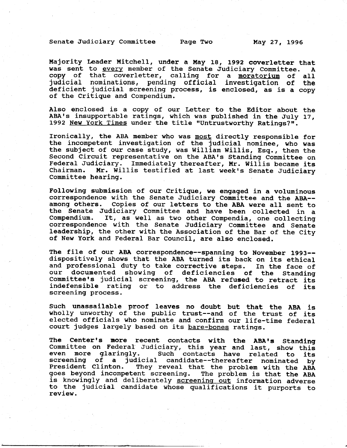## Senate Judiciary Committee Page Two May 27, 1996

Majority Leader Mitchell, under a May 18, 1992 coverletter that was sent to every member of the Senate Judiciary Committee. A copy of that coverletter, calling for a moratorium of all judicial nominations, pending official investigation of the deficient judicial screening process, is enclosed, as is a copy of the Critigue and Compendium.

AIso enclosed is a copy of our Letter to the Editor about the ABA's insupportable ratings, which was published in the July 17, 1992 New York Times under the title "Untrustworthy Ratings?".

Ironically, the ABA member who was most directly responsible for the incompetent investigation of the judicial nominee, who was the subject of our case study, was Willian WiIIis, ESg., then the Second Circuit representative on the ABA's Standing Committee on Federal Judiciary. Immediately thereafter, Mr. WilIis became its Mr. Willis testified at last week's Senate Judiciary Committee hearing.

Following submission of our Critique, we engaged in a voluminous correspondence with the Senate Judiciary Conmittee and the ABA- among others. Copies of our letters to the ABA were all sent to the Senate Judiciary Committee and have been collected in a compendium. It, as well as two other Compendia, one collecting correspondence with the Senate Judiciary Conmittee and senate Ieadership, the other with the Association of the Bar of the City of New York and Federal Bar Council, are also enclosed.

The file of our ABA correspondence--spanning to November 1993- dispositively shows that the ABA turned its back on its ethical and professional duty to take corrective steps. In the face of our documented showing of deficiencies of the Standing documented showing of deficiencies of the Standing Committee's judicial screening, the ABA refused to retract its indefensible rating or to address the deficiencies of its screening process.

Such unassailable proof leaves no doubt but that the ABA is wholly unworthy of the public trust--and of the trust of its elected officials who nominate and confirm our life-time federal court judges largely based on its bare-bones ratings.

The Center's more recent contacts with the ABA's Standing Committee on Federal Judiciary, this year and last, show this<br>even more glaringly. Such contacts have related to its Such contacts have related to its screening of a judicial candidate--thereafter nominated by They reveal that the problem with the ABA goes beyond incompetent screening. The problem is that the ABA is knowingly and deliberately screening out information adverse to the judicial candidate whose qualifications it purports to review.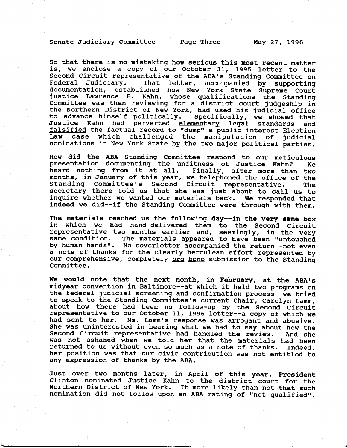Senate Judiciary Committee Page Three May 27, 1996

So that there is no mistaking how serious this most recent matter is, we enclose a copy of our October 31, 1995 letter to the Second Circuit representative of the ABA's Standing Committee on Federal Judiciary. That letter, accompanied by supporting documentation, established how New York State Supreme Couri justice Lawrence E. Kahn, whose gualifications the Standing Committee was then reviewing for a district court judgeship in the Northern District of New York, had used his judicial office to advance himself politically. Specifically, we showed tha Justice Kahn had perverted <u>elementary</u> legal standards and falsified the factual record to "dump" a public interest Election Law case which challenged the manipulation of judicial nominations in New York State by the two major political parties.

How did the ABA Standing Committee respond to our meticulous presentation documenting the unfitness of Justice Kahn? we heard nothing from it at all. Finally, after more than two months, in January of this year, we telephoned the office of the Standing Committee's Second Circuit representative. The secretary there told us that she was just about to call us to inquire whether we wanted our materials back. We responded that indeed we did--if the Standing Committee were through with them.

The materials reached us the following day--in the very same box in which we had hand-detivered them to the second Circuit representative two nonths earlier and, seemingly, in the very same condition. The materials appeared to have been "untouched by human hands". No coverletter accompanied the return--not even a note of thanks for the clearly herculean effort represented by our comprehensive, completely pro bono submission to the Standing Committee.

We would note that the next month, in February, at the ABA's midyear convention in Baltimore--at which it held two programs on the federal judicial screening and confirmation process--we tried to speak to the Standing Committee's current Chair, Carolyn Lamm, about how there had been no follow-up by the Second Circuit representative to our October 31, 1996 letter--a copy of which we<br>had sent to her. Ms. Lamm's response was arrogant and abusive. Ms. Lamm's response was arrogant and abusive. She was uninterested in hearing what we had to say about how the<br>Second Circuit representative had handled the review. And she Second Circuit representative had handled the review. was not ashamed when we told her that the materials had been returned to us without even so much as a note of thanks. Indeed, her position was that our civic contribution was not entitled to any expression of thanks by the ABA.

Just over two months later, in April of this year, President Clinton nominated Justice Kahn to the district court for the Northern District of New York. It more likely than not that such nomination did not follow upon an ABA rating of "not qualified".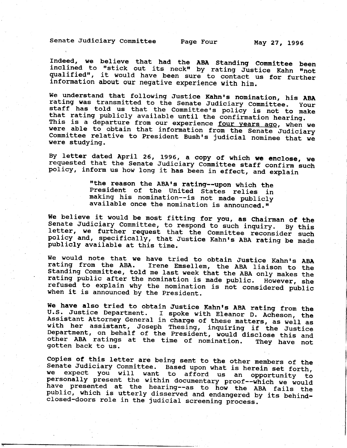Senate Judiciary Committee Page Four Yuay 27, 1996

Indeed, we believe that had the ABA Standing Committee been inclined to "stick out its neck" by rating Justice Kahn "not qualified", it would have been sure to contact us for further information about our negative experience with him.

We understand that following Justice Kahn's nomination, his ABA rating was transmitted to the Senate Judiciary Committee. Your staff has told us that the Committee's policy is not to make that rating publicly available until the confirmation hearing This is a departure from our experience four years ago, when we Committee relative to President Bush's judicial nominee that we were able to obtain that information from the Senate Judiciary were studying.

By letter dated April 26, 1996, a copy of which we enclose, we requested that the Senate Judiciary Committee staff confirm such policy, inform us how long it has been in effect, and explain

"the reason the ABA's rating--upon which the<br>President of the United States relies in<br>making his nomination--is not made publicly available once the nomination is announced."

We believe it would be most fitting for you, as Chairman of the Senate Judiciary Committee, to respond to such inquiry. By this letter, we further request that the Committee reconsider such policy and, specifically, that J

We would note that we have tried to obtain Justice Kahn's ABA<br>rating from the ABA. Irene Emsellem, the ABA liaison to the<br>Standing Committee, told me last week that the ABA only makes the<br>rating public after the nomination Standing Committee, told me last week that the ABA only makes the refused to explain why the nomination is not considered public<br>when it is announced by the President.

We have also tried to obtain Justice Kahn's ABA rating from the<br>U.S. Justice Department. I spoke with Eleanor D. Acheson, the<br>Assistant Attorney General in charge of these matters, as well as<br>with her assistant, Joseph The

Copies of this letter are being sent to the other members of the Senate Judiciary Committee. Based upon what is herein set forth, benate budicialy committee. Based upon what is herein set forth<br>We expect you will want to afford us an opportunity t personally present the within documentary proof--which we would<br>have presented at the hearing--as to how the ABA fails the<br>public, which is utterly disserved and endangered by its behind-<br>closed-doors role in the judicial